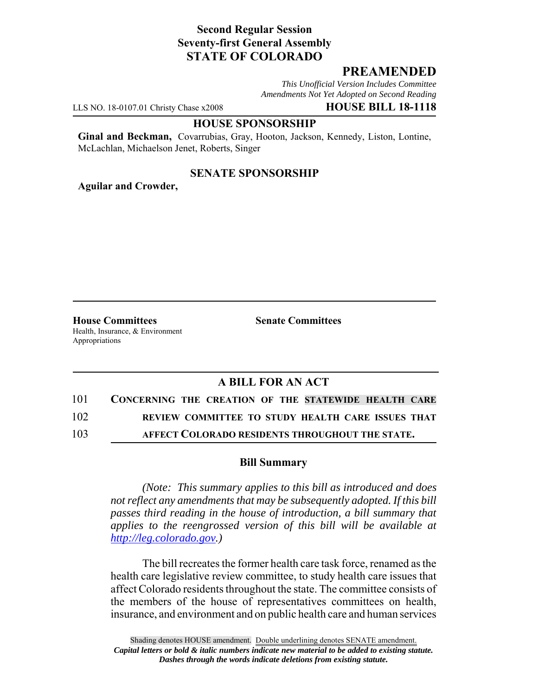# **Second Regular Session Seventy-first General Assembly STATE OF COLORADO**

## **PREAMENDED**

*This Unofficial Version Includes Committee Amendments Not Yet Adopted on Second Reading*

LLS NO. 18-0107.01 Christy Chase x2008 **HOUSE BILL 18-1118**

#### **HOUSE SPONSORSHIP**

**Ginal and Beckman,** Covarrubias, Gray, Hooton, Jackson, Kennedy, Liston, Lontine, McLachlan, Michaelson Jenet, Roberts, Singer

### **SENATE SPONSORSHIP**

**Aguilar and Crowder,**

**House Committees Senate Committees** Health, Insurance, & Environment Appropriations

## **A BILL FOR AN ACT**

101 **CONCERNING THE CREATION OF THE STATEWIDE HEALTH CARE**

102 **REVIEW COMMITTEE TO STUDY HEALTH CARE ISSUES THAT**

103 **AFFECT COLORADO RESIDENTS THROUGHOUT THE STATE.**

### **Bill Summary**

*(Note: This summary applies to this bill as introduced and does not reflect any amendments that may be subsequently adopted. If this bill passes third reading in the house of introduction, a bill summary that applies to the reengrossed version of this bill will be available at http://leg.colorado.gov.)*

The bill recreates the former health care task force, renamed as the health care legislative review committee, to study health care issues that affect Colorado residents throughout the state. The committee consists of the members of the house of representatives committees on health, insurance, and environment and on public health care and human services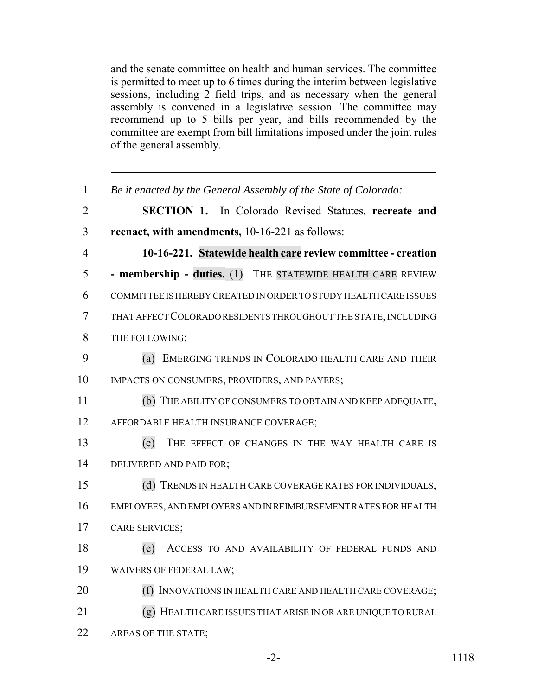and the senate committee on health and human services. The committee is permitted to meet up to 6 times during the interim between legislative sessions, including 2 field trips, and as necessary when the general assembly is convened in a legislative session. The committee may recommend up to 5 bills per year, and bills recommended by the committee are exempt from bill limitations imposed under the joint rules of the general assembly.

| 1              | Be it enacted by the General Assembly of the State of Colorado:  |
|----------------|------------------------------------------------------------------|
| $\overline{2}$ | <b>SECTION 1.</b> In Colorado Revised Statutes, recreate and     |
| 3              | reenact, with amendments, 10-16-221 as follows:                  |
| $\overline{4}$ | 10-16-221. Statewide health care review committee - creation     |
| 5              | - membership - duties. (1) THE STATEWIDE HEALTH CARE REVIEW      |
| 6              | COMMITTEE IS HEREBY CREATED IN ORDER TO STUDY HEALTH CARE ISSUES |
| 7              | THAT AFFECT COLORADO RESIDENTS THROUGHOUT THE STATE, INCLUDING   |
| 8              | THE FOLLOWING:                                                   |
| 9              | (a) EMERGING TRENDS IN COLORADO HEALTH CARE AND THEIR            |
| 10             | IMPACTS ON CONSUMERS, PROVIDERS, AND PAYERS;                     |
| 11             | (b) THE ABILITY OF CONSUMERS TO OBTAIN AND KEEP ADEQUATE,        |
| 12             | AFFORDABLE HEALTH INSURANCE COVERAGE;                            |
| 13             | THE EFFECT OF CHANGES IN THE WAY HEALTH CARE IS<br>(c)           |
| 14             | DELIVERED AND PAID FOR;                                          |
| 15             | (d) TRENDS IN HEALTH CARE COVERAGE RATES FOR INDIVIDUALS,        |
| 16             | EMPLOYEES, AND EMPLOYERS AND IN REIMBURSEMENT RATES FOR HEALTH   |
| 17             | <b>CARE SERVICES;</b>                                            |
| 18             | ACCESS TO AND AVAILABILITY OF FEDERAL FUNDS AND<br>(e)           |
| 19             | WAIVERS OF FEDERAL LAW;                                          |
| 20             | (f) INNOVATIONS IN HEALTH CARE AND HEALTH CARE COVERAGE;         |
| 21             | (g) HEALTH CARE ISSUES THAT ARISE IN OR ARE UNIQUE TO RURAL      |
| 22             | AREAS OF THE STATE;                                              |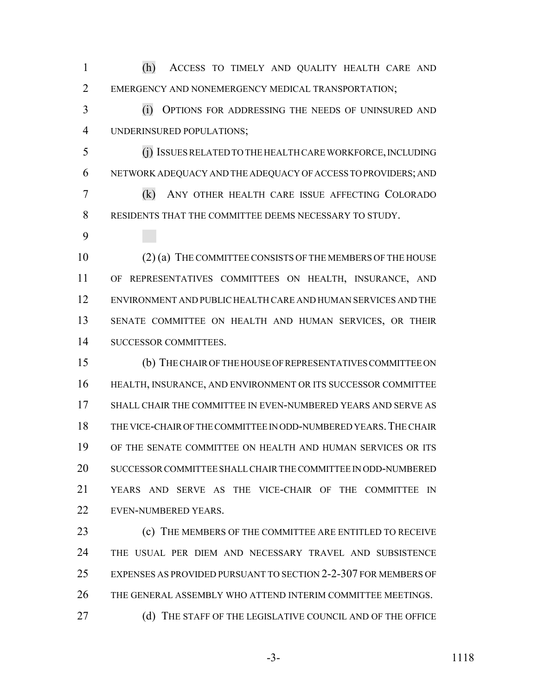(h) ACCESS TO TIMELY AND QUALITY HEALTH CARE AND EMERGENCY AND NONEMERGENCY MEDICAL TRANSPORTATION;

 (i) OPTIONS FOR ADDRESSING THE NEEDS OF UNINSURED AND UNDERINSURED POPULATIONS;

 (j) ISSUES RELATED TO THE HEALTH CARE WORKFORCE, INCLUDING NETWORK ADEQUACY AND THE ADEQUACY OF ACCESS TO PROVIDERS; AND (k) ANY OTHER HEALTH CARE ISSUE AFFECTING COLORADO

RESIDENTS THAT THE COMMITTEE DEEMS NECESSARY TO STUDY.

 (2) (a) THE COMMITTEE CONSISTS OF THE MEMBERS OF THE HOUSE OF REPRESENTATIVES COMMITTEES ON HEALTH, INSURANCE, AND ENVIRONMENT AND PUBLIC HEALTH CARE AND HUMAN SERVICES AND THE SENATE COMMITTEE ON HEALTH AND HUMAN SERVICES, OR THEIR SUCCESSOR COMMITTEES.

 (b) THE CHAIR OF THE HOUSE OF REPRESENTATIVES COMMITTEE ON HEALTH, INSURANCE, AND ENVIRONMENT OR ITS SUCCESSOR COMMITTEE SHALL CHAIR THE COMMITTEE IN EVEN-NUMBERED YEARS AND SERVE AS THE VICE-CHAIR OF THE COMMITTEE IN ODD-NUMBERED YEARS.THE CHAIR OF THE SENATE COMMITTEE ON HEALTH AND HUMAN SERVICES OR ITS SUCCESSOR COMMITTEE SHALL CHAIR THE COMMITTEE IN ODD-NUMBERED YEARS AND SERVE AS THE VICE-CHAIR OF THE COMMITTEE IN EVEN-NUMBERED YEARS.

 (c) THE MEMBERS OF THE COMMITTEE ARE ENTITLED TO RECEIVE THE USUAL PER DIEM AND NECESSARY TRAVEL AND SUBSISTENCE EXPENSES AS PROVIDED PURSUANT TO SECTION 2-2-307 FOR MEMBERS OF THE GENERAL ASSEMBLY WHO ATTEND INTERIM COMMITTEE MEETINGS. **(d)** THE STAFF OF THE LEGISLATIVE COUNCIL AND OF THE OFFICE

-3- 1118